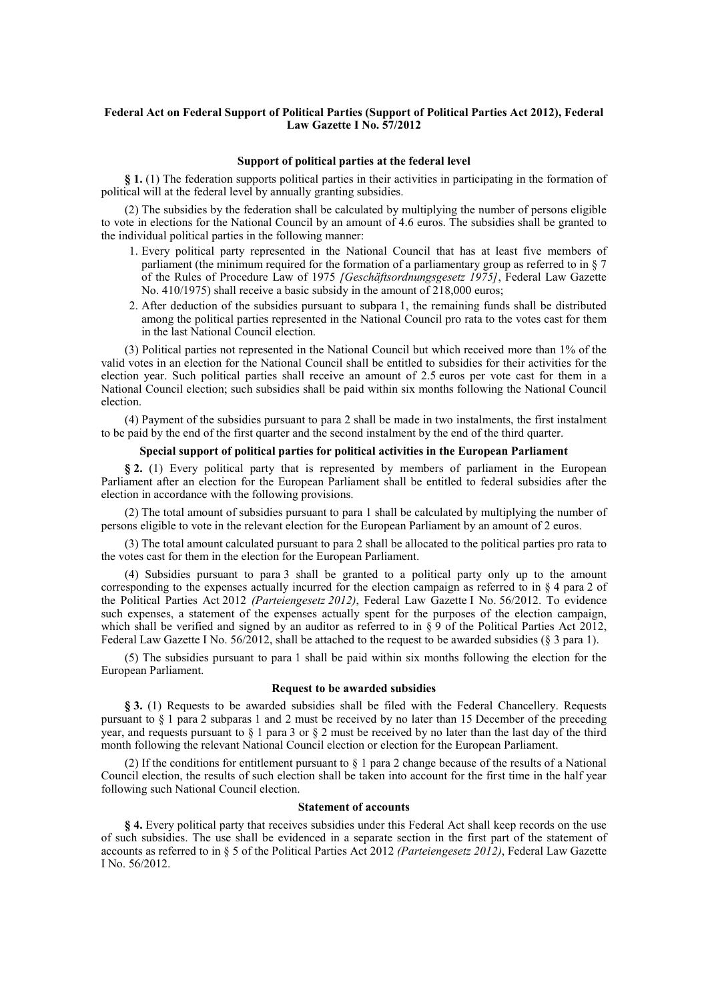# **Federal Act on Federal Support of Political Parties (Support of Political Parties Act 2012), Federal Law Gazette I No. 57/2012**

#### **Support of political parties at the federal level**

**§ 1.** (1) The federation supports political parties in their activities in participating in the formation of political will at the federal level by annually granting subsidies.

(2) The subsidies by the federation shall be calculated by multiplying the number of persons eligible to vote in elections for the National Council by an amount of 4.6 euros. The subsidies shall be granted to the individual political parties in the following manner:

- 1. Every political party represented in the National Council that has at least five members of parliament (the minimum required for the formation of a parliamentary group as referred to in § 7 of the Rules of Procedure Law of 1975 *[Geschäftsordnungsgesetz 1975]*, Federal Law Gazette No. 410/1975) shall receive a basic subsidy in the amount of 218,000 euros;
- 2. After deduction of the subsidies pursuant to subpara 1, the remaining funds shall be distributed among the political parties represented in the National Council pro rata to the votes cast for them in the last National Council election.

(3) Political parties not represented in the National Council but which received more than 1% of the valid votes in an election for the National Council shall be entitled to subsidies for their activities for the election year. Such political parties shall receive an amount of 2.5 euros per vote cast for them in a National Council election; such subsidies shall be paid within six months following the National Council election.

(4) Payment of the subsidies pursuant to para 2 shall be made in two instalments, the first instalment to be paid by the end of the first quarter and the second instalment by the end of the third quarter.

# **Special support of political parties for political activities in the European Parliament**

**§ 2.** (1) Every political party that is represented by members of parliament in the European Parliament after an election for the European Parliament shall be entitled to federal subsidies after the election in accordance with the following provisions.

(2) The total amount of subsidies pursuant to para 1 shall be calculated by multiplying the number of persons eligible to vote in the relevant election for the European Parliament by an amount of 2 euros.

(3) The total amount calculated pursuant to para 2 shall be allocated to the political parties pro rata to the votes cast for them in the election for the European Parliament.

(4) Subsidies pursuant to para 3 shall be granted to a political party only up to the amount corresponding to the expenses actually incurred for the election campaign as referred to in  $\S 4$  para 2 of the Political Parties Act 2012 *(Parteiengesetz 2012)*, Federal Law Gazette I No. 56/2012. To evidence such expenses, a statement of the expenses actually spent for the purposes of the election campaign, which shall be verified and signed by an auditor as referred to in  $\S 9$  of the Political Parties Act 2012, Federal Law Gazette I No. 56/2012, shall be attached to the request to be awarded subsidies (§ 3 para 1).

(5) The subsidies pursuant to para 1 shall be paid within six months following the election for the European Parliament.

### **Request to be awarded subsidies**

**§ 3.** (1) Requests to be awarded subsidies shall be filed with the Federal Chancellery. Requests pursuant to § 1 para 2 subparas 1 and 2 must be received by no later than 15 December of the preceding year, and requests pursuant to § 1 para 3 or § 2 must be received by no later than the last day of the third month following the relevant National Council election or election for the European Parliament.

(2) If the conditions for entitlement pursuant to § 1 para 2 change because of the results of a National Council election, the results of such election shall be taken into account for the first time in the half year following such National Council election.

### **Statement of accounts**

**§ 4.** Every political party that receives subsidies under this Federal Act shall keep records on the use of such subsidies. The use shall be evidenced in a separate section in the first part of the statement of accounts as referred to in § 5 of the Political Parties Act 2012 *(Parteiengesetz 2012)*, Federal Law Gazette I No. 56/2012.